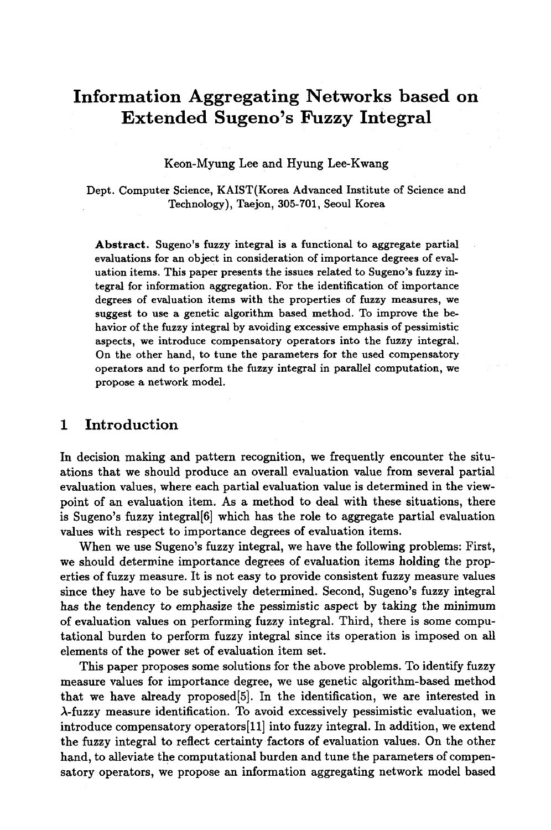# **Information Aggregating Networks based on Extended Sugeno's Fuzzy Integral**

#### Keon-Myung Lee and Hyung Lee-Kwang

Dept. Computer Science, KAIST(Korea Advanced Institute of Science and Technology), Taejon, 305-701, Seoul Korea

**Abstract.** Sugeno's fuzzy integral is a functional to aggregate partial evaluations for an object in consideration of importance degrees of evaluation items. This paper presents the issues related to Sugeno's fuzzy integral for information aggregation. For the identification of importance degrees of evaluation items with the properties of fuzzy measures, we suggest to use a genetic algorithm based method. To improve the behavior of the fuzzy integral by avoiding excessive emphasis of pessimistic aspects, we introduce compensatory operators into the fuzzy integral. On the other hand, to tune the parameters for the used compensatory operators and to perform the fuzzy integral in parallel computation, we propose a network model.

## **1 Introduction**

In decision making and pattern recognition, we frequently encounter the situations that we should produce an overall evaluation value from several partial evaluation values, where each partial evaluation value is determined in the viewpoint of an evaluation item. As a method to deal with these situations, there is Sugeno's fuzzy integral[6] which has the role to aggregate partial evaluation values with respect to importance degrees of evaluation items.

When we use Sugeno's fuzzy integral, we have the following problems: First, we should determine importance degrees of evaluation items holding the properties of fuzzy measure. It is not easy to provide consistent fuzzy measure values since they have to be subjectively determined. Second, Sugeno's fuzzy integral has the tendency to emphasize the pessimistic aspect by taking the minimum of evaluation values on performing fuzzy integral. Third, there is some computational burden to perform fuzzy integral since its operation is imposed on all elements of the power set of evaluation item set.

This paper proposes some solutions for the above problems. To identify fuzzy measure values for importance degree, we use genetic algorithm-based method that we have already proposed[5]. In the identification, we are interested in  $\lambda$ -fuzzy measure identification. To avoid excessively pessimistic evaluation, we introduce compensatory operators[11] into fuzzy integral. In addition, we extend the fuzzy integral to reflect certainty factors of evaluation values. On the other hand, to alleviate the computational burden and tune the parameters of compensatory operators, we propose an information aggregating network model based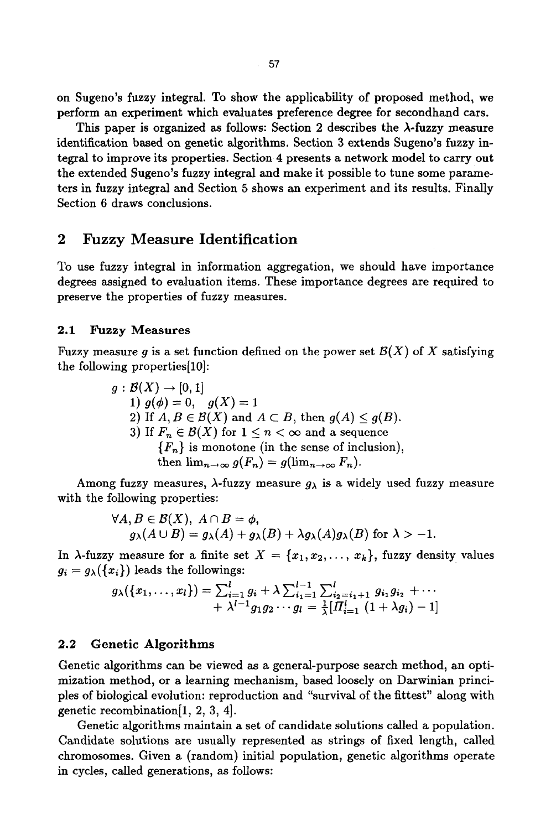on Sugeno's fuzzy integral. To show the applicability of proposed method, we perform an experiment which evaluates preference degree for secondhand cars.

This paper is organized as follows: Section 2 describes the  $\lambda$ -fuzzy measure identification based on genetic algorithms. Section 3 extends Sugeno's fuzzy integral to improve its properties. Section 4 presents a network model to carry out the extended Sugeno's fuzzy integral and make it possible to tune some parameters in fuzzy integral and Section 5 shows an experiment and its results. Finally Section 6 draws conclusions.

# 2 Fuzzy Measure Identification

To use fuzzy integral in information aggregation, we should have importance degrees assigned to evaluation items. These importance degrees are required to preserve the properties of fuzzy measures.

#### **2.1 Fuzzy** Measures

Fuzzy measure g is a set function defined on the power set  $\mathcal{B}(X)$  of X satisfying the following properties[10]:

$$
g: \mathcal{B}(X) \to [0, 1]
$$
  
\n1)  $g(\phi) = 0$ ,  $g(X) = 1$   
\n2) If  $A, B \in \mathcal{B}(X)$  and  $A \subset B$ , then  $g(A) \leq g(B)$ .  
\n3) If  $F_n \in \mathcal{B}(X)$  for  $1 \leq n < \infty$  and a sequence  
\n $\{F_n\}$  is monotone (in the sense of inclusion),  
\nthen  $\lim_{n \to \infty} g(F_n) = g(\lim_{n \to \infty} F_n)$ .

Among fuzzy measures,  $\lambda$ -fuzzy measure  $g_{\lambda}$  is a widely used fuzzy measure with the following properties:

$$
\forall A, B \in \mathcal{B}(X), \ A \cap B = \phi,
$$
  

$$
g_{\lambda}(A \cup B) = g_{\lambda}(A) + g_{\lambda}(B) + \lambda g_{\lambda}(A)g_{\lambda}(B) \text{ for } \lambda > -1.
$$

In  $\lambda$ -fuzzy measure for a finite set  $X = \{x_1, x_2, \ldots, x_k\}$ , fuzzy density values  $g_i = g_{\lambda}(\{x_i\})$  leads the followings:

$$
g_{\lambda}(\lbrace x_{1},\ldots,x_{l}\rbrace)=\sum_{i=1}^{l}g_{i}+\lambda\sum_{i_{1}=1}^{l-1}\sum_{i_{2}=i_{1}+1}^{l}g_{i_{1}}g_{i_{2}}+\cdots+\lambda^{l-1}g_{1}g_{2}\cdots g_{l}=\frac{1}{\lambda}[\Pi_{i=1}^{l} (1+\lambda g_{i})-1]
$$

# **2.2 Genetic Algorithms**

Genetic algorithms can be viewed as a general-purpose search method, an optimization method, or a learning mechanism, based loosely on Darwinian principles of biological evolution: reproduction and "survival of the fittest" along with genetic recombination[I, 2, 3, 4].

Genetic algorithms maintain a set of candidate solutions called a population. Candidate solutions are usually represented as strings of fixed length, called chromosomes. Given a (random) initial population, genetic algorithms operate in cycles, called generations, as follows: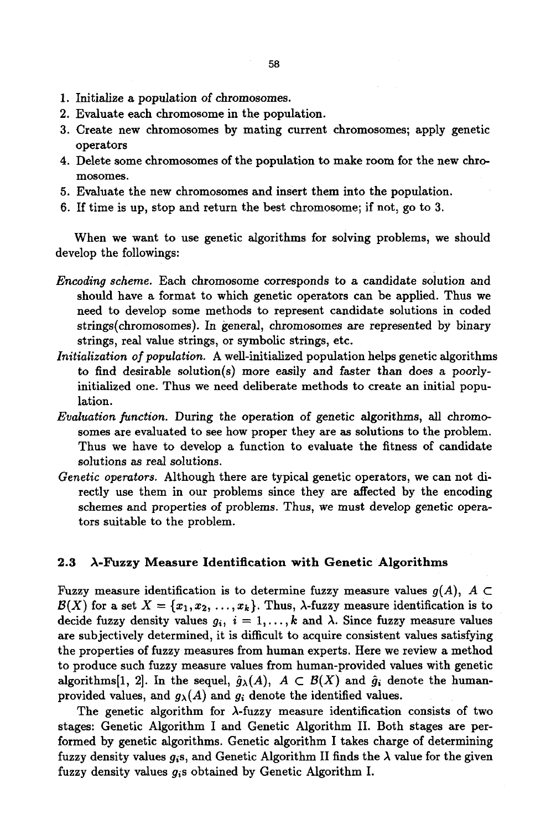- 1. Initialize a population of chromosomes.
- 2. Evaluate each chromosome in the population.
- 3. Create new chromosomes by mating current chromosomes; apply genetic operators
- 4. Delete some chromosomes of the population to make room for the new chromosomes.
- 5. Evaluate the new chromosomes and insert them into the population.
- 6. If time is up, stop and return the best chromosome; if not, go to 3.

When we want to use genetic algorithms for solving problems, we should develop the followings:

- *Encoding scheme.* Each chromosome corresponds to a candidate solution and should have a format to which genetic operators can be applied. Thus we need to develop some methods to represent candidate solutions in coded strings(chromosomes). In general, chromosomes are represented by binary strings, real value strings, or symbolic strings, etc.
- *Initialization of population.* A well-initiallzed population helps genetic algorithms to find desirable solution(s) more easily and faster than does a poorlyinitialized one. Thus we need deliberate methods to create an initial population.
- *Evaluation function.* During the operation of genetic algorithms, all chromosomes are evaluated to see how proper they are as solutions to the problem. Thus we have to develop a function to evaluate the fitness of candidate solutions as real solutions.
- *Genetic operators.* Although there are typical genetic operators, we can not directly use them in our problems since they are affected by the encoding schemes and properties of problems. Thus, we must develop genetic operators suitable to the problem.

#### 2.3  $\lambda$ -Fuzzy Measure Identification with Genetic Algorithms

Fuzzy measure identification is to determine fuzzy measure values  $g(A)$ ,  $A \subset$  $\mathcal{B}(X)$  for a set  $X = \{x_1, x_2, \ldots, x_k\}$ . Thus,  $\lambda$ -fuzzy measure identification is to decide fuzzy density values  $g_i$ ,  $i = 1, ..., k$  and  $\lambda$ . Since fuzzy measure values are subjectively determined, it is difficult to acquire consistent values satisfying the properties of fuzzy measures from human experts. Here we review a method to produce such fuzzy measure values from human-provided values with genetic algorithms[1, 2]. In the sequel,  $\hat{g}_{\lambda}(A)$ ,  $A \subset \mathcal{B}(X)$  and  $\hat{g}_i$  denote the humanprovided values, and  $g_{\lambda}(A)$  and  $g_i$  denote the identified values.

The genetic algorithm for  $\lambda$ -fuzzy measure identification consists of two stages: Genetic Algorithm I and Genetic Algorithm II. Both stages are performed by genetic algorithms. Genetic algorithm I takes charge of determining fuzzy density values  $g_i$ s, and Genetic Algorithm II finds the  $\lambda$  value for the given fuzzy density values *gis* obtained by Genetic Algorithm I.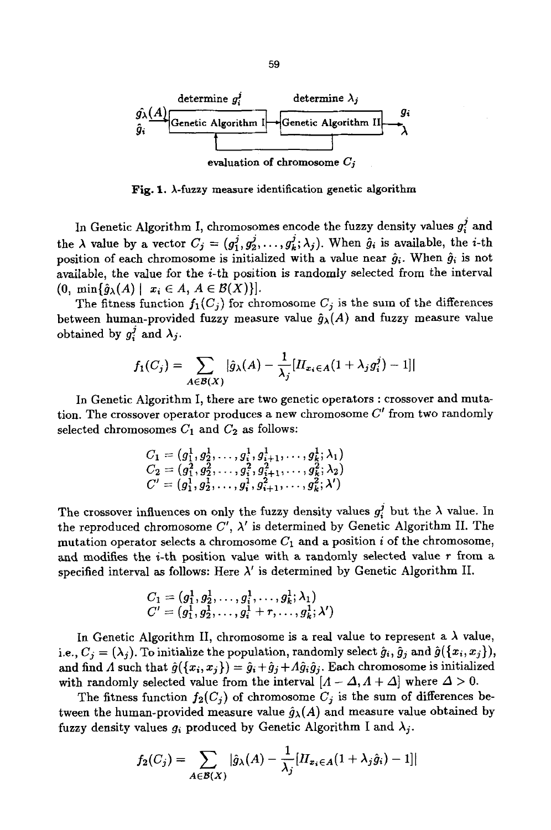

Fig. 1.  $\lambda$ -fuzzy measure identification genetic algorithm

In Genetic Algorithm I, chromosomes encode the fuzzy density values  $g_i^j$  and the  $\lambda$  value by a vector  $C_j = (g_1^j, g_2^j, \ldots, g_k^j; \lambda_j)$ . When  $\hat{g}_i$  is available, the *i*-th position of each chromosome is initialized with a value near  $\hat{g}_i$ . When  $\hat{g}_i$  is not available, the value for the  $i$ -th position is randomly selected from the interval  $(0, \min\{\hat{g}_{\lambda}(A) \mid x_i \in A, A \in \mathcal{B}(X)\}).$ 

The fitness function  $f_1(C_j)$  for chromosome  $C_j$  is the sum of the differences between human-provided fuzzy measure value  $\hat{g}_{\lambda}(A)$  and fuzzy measure value obtained by  $g_i^j$  and  $\lambda_j$ .

$$
f_1(C_j) = \sum_{A \in \mathcal{B}(X)} |\hat{g}_{\lambda}(A) - \frac{1}{\lambda_j} [H_{x_i \in A}(1 + \lambda_j g_i^j) - 1]|
$$

In Genetic Algorithm I, there are two genetic operators : crossover and mutation. The crossover operator produces a new chromosome  $C'$  from two randomly selected chromosomes  $C_1$  and  $C_2$  as follows:

$$
C_1 = (g_1^1, g_2^1, \ldots, g_i^1, g_{i+1}^1, \ldots, g_k^1; \lambda_1) C_2 = (g_1^2, g_2^2, \ldots, g_i^2, g_{i+1}^2, \ldots, g_k^2; \lambda_2) C' = (g_1^1, g_2^1, \ldots, g_i^1, g_{i+1}^2, \ldots, g_k^2; \lambda')
$$

The crossover influences on only the fuzzy density values  $g_i^j$  but the  $\lambda$  value. In the reproduced chromosome  $C'$ ,  $\lambda'$  is determined by Genetic Algorithm II. The mutation operator selects a chromosome  $C_1$  and a position i of the chromosome, and modifies the  $i$ -th position value with a randomly selected value r from a specified interval as follows: Here  $\lambda'$  is determined by Genetic Algorithm II.

$$
C_1=(g_1^1, g_2^1, \ldots, g_i^1, \ldots, g_k^1; \lambda_1)\\ C'=(g_1^1, g_2^1, \ldots, g_i^1+r, \ldots, g_k^1; \lambda')
$$

In Genetic Algorithm II, chromosome is a real value to represent a  $\lambda$  value, i.e.,  $C_j = (\lambda_j)$ . To initialize the population, randomly select  $\hat{g}_i$ ,  $\hat{g}_j$  and  $\hat{g}(\{x_i, x_j\}),$ and find A such that  $\hat{g}(\{x_i, x_j\}) = \hat{g}_i + \hat{g}_j + A\hat{g}_i\hat{g}_j$ . Each chromosome is initialized with randomly selected value from the interval  $[A - \Delta, A + \Delta]$  where  $\Delta > 0$ .

The fitness function  $f_2(C_i)$  of chromosome  $C_i$  is the sum of differences between the human-provided measure value  $\hat{g}_{\lambda}(A)$  and measure value obtained by fuzzy density values  $g_i$  produced by Genetic Algorithm I and  $\lambda_j$ .

$$
f_2(C_j) = \sum_{A \in \mathcal{B}(X)} |\hat{g}_{\lambda}(A) - \frac{1}{\lambda_j} [H_{x_i \in A} (1 + \lambda_j \hat{g}_i) - 1]|
$$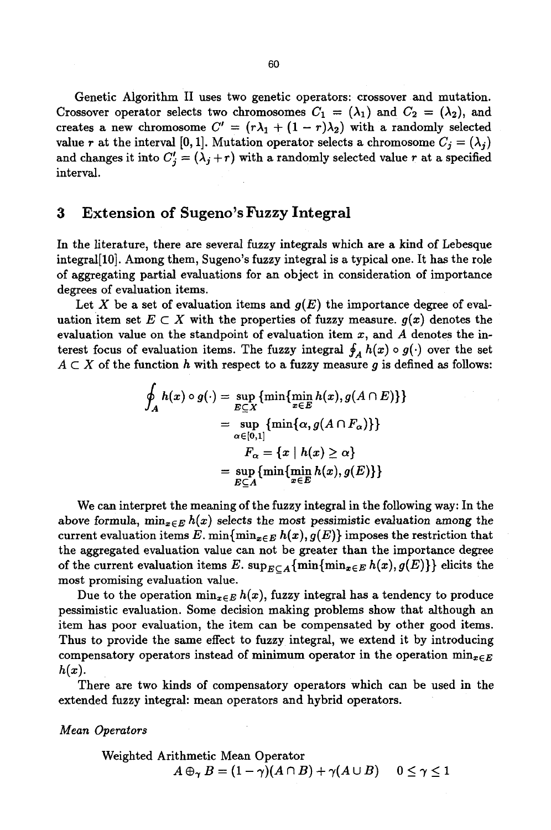Genetic Algorithm II uses two genetic operators: crossover and mutation. Crossover operator selects two chromosomes  $C_1 = (\lambda_1)$  and  $C_2 = (\lambda_2)$ , and creates a new chromosome  $C' = (r\lambda_1 + (1 - r)\lambda_2)$  with a randomly selected value r at the interval [0, 1]. Mutation operator selects a chromosome  $C_i = (\lambda_i)$ and changes it into  $C'_{j} = (\lambda_{j} + r)$  with a randomly selected value r at a specified interval.

# 3 Extension of Sugeno's Fuzzy Integral

In the literature, there are several fuzzy integrals which are a kind of Lebesque integral[10]. Among them, Sugeno's fuzzy integral is a typical one. It has the role of aggregating partial evaluations for an object in consideration of importance degrees of evaluation items.

Let X be a set of evaluation items and  $g(E)$  the importance degree of evaluation item set  $E \subset X$  with the properties of fuzzy measure,  $g(x)$  denotes the evaluation value on the standpoint of evaluation item  $x$ , and  $A$  denotes the interest focus of evaluation items. The fuzzy integral  $\oint_A h(x) \circ g(\cdot)$  over the set  $A \subset X$  of the function h with respect to a fuzzy measure g is defined as follows:

$$
\oint_A h(x) \circ g(\cdot) = \sup_{E \subseteq X} \{ \min \{ \min_{x \in E} h(x), g(A \cap E) \} \}
$$
\n
$$
= \sup_{\alpha \in [0,1]} \{ \min \{ \alpha, g(A \cap F_\alpha) \} \}
$$
\n
$$
F_\alpha = \{ x \mid h(x) \ge \alpha \}
$$
\n
$$
= \sup_{E \subseteq A} \{ \min \{ \min_{x \in E} h(x), g(E) \} \}
$$

We can interpret the meaning of the fuzzy integral in the following way: In the above formula,  $\min_{x \in E} h(x)$  selects the most pessimistic evaluation among the current evaluation items E. min $\{\min_{x\in E} h(x), g(E)\}$  imposes the restriction that the aggregated evaluation value can not be greater than the importance degree of the current evaluation items E.  $\sup_{E \subset A} {\min \{\min_{x \in E} h(x), g(E)\}\}\}$  elicits the most promising evaluation value.

Due to the operation  $\min_{x \in E} h(x)$ , fuzzy integral has a tendency to produce pessimistic evaluation. Some decision making problems show that although an item has poor evaluation, the item can be compensated by other good items. Thus to provide the same effect to fuzzy integral, we extend it by introducing compensatory operators instead of minimum operator in the operation  $\min_{x \in E}$  $h(x)$ .

There are two kinds of compensatory operators which can be used in the extended fuzzy integral: mean operators and hybrid operators.

*Mean Operators* 

Weighted Arithmetic Mean Operator  $A \oplus_{\gamma} B = (1 - \gamma)(A \cap B) + \gamma(A \cup B) \quad 0 \leq \gamma \leq 1$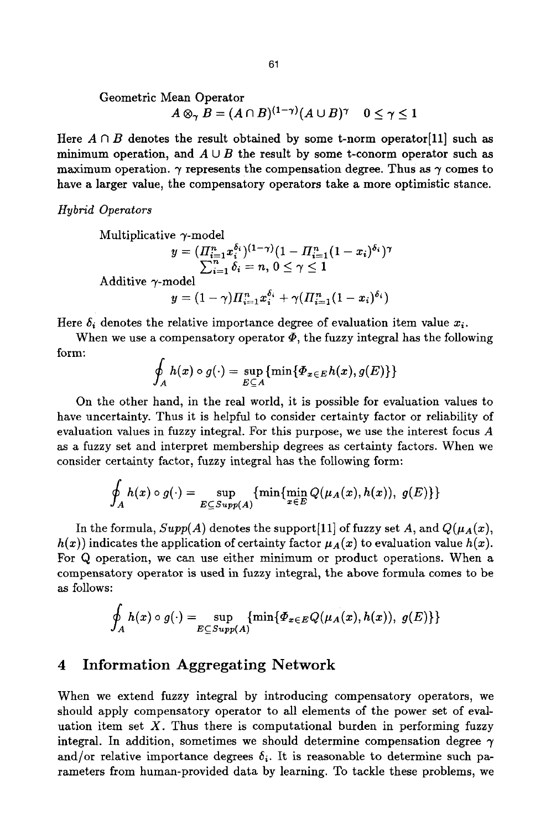Geometric Mean Operator  
\n
$$
A \otimes_{\gamma} B = (A \cap B)^{(1-\gamma)} (A \cup B)^{\gamma}
$$
  $0 \le \gamma \le 1$ 

Here  $A \cap B$  denotes the result obtained by some t-norm operator [11] such as minimum operation, and  $A \cup B$  the result by some t-conorm operator such as maximum operation.  $\gamma$  represents the compensation degree. Thus as  $\gamma$  comes to have a larger value, the compensatory operators take a more optimistic stance.

*Hybrid Operators* 

Multiplicative 
$$
\gamma
$$
-model  
\n
$$
y = (H_{i=1}^n x_i^{\delta_i})^{(1-\gamma)} (1 - H_{i=1}^n (1 - x_i)^{\delta_i})^{\gamma}
$$
\n
$$
\sum_{i=1}^n \delta_i = n, 0 \le \gamma \le 1
$$
\nAdditive  $\gamma$ -model  
\n
$$
y = (1 - \gamma) H_{i=1}^n x_i^{\delta_i} + \gamma (H_{i=1}^n (1 - x_i)^{\delta_i})
$$

Here  $\delta_i$  denotes the relative importance degree of evaluation item value  $x_i$ .

When we use a compensatory operator  $\Phi$ , the fuzzy integral has the following form:

$$
\oint_A h(x) \circ g(\cdot) = \sup_{E \subseteq A} \{ \min \{ \varPhi_{x \in E} h(x), g(E) \} \}
$$

On the other hand, in the real world, it is possible for evaluation values to have uncertainty. Thus it is helpful to consider certainty factor or reliability of evaluation values in fuzzy integral. For this purpose, we use the interest focus A as a fuzzy set and interpret membership degrees as certainty factors. When we consider certainty factor, fuzzy integral has the following form:

$$
\oint_A h(x) \circ g(\cdot) = \sup_{E \subseteq Supp(A)} \{ \min \{ \min_{x \in E} Q(\mu_A(x), h(x)), g(E) \} \}
$$

In the formula,  $Supp(A)$  denotes the support [11] of fuzzy set A, and  $Q(\mu_A(x))$ ,  $h(x)$  indicates the application of certainty factor  $\mu_A(x)$  to evaluation value  $h(x)$ . For Q operation, we can use either minimum or product operations. When a compensatory operator is used in fuzzy integral, the above formula comes to be as follows:

$$
\oint_A h(x) \circ g(\cdot) = \sup_{E \subseteq Supp(A)} \{ \min \{ \varPhi_{x \in E} Q(\mu_A(x), h(x)), g(E) \} \}
$$

# 4 Information Aggregating Network

When we extend fuzzy integral by introducing compensatory operators, we should apply compensatory operator to all elements of the power set of evaluation item set  $X$ . Thus there is computational burden in performing fuzzy integral. In addition, sometimes we should determine compensation degree  $\gamma$ and/or relative importance degrees  $\delta_i$ . It is reasonable to determine such parameters from human-provided data by learning. To tackle these problems, we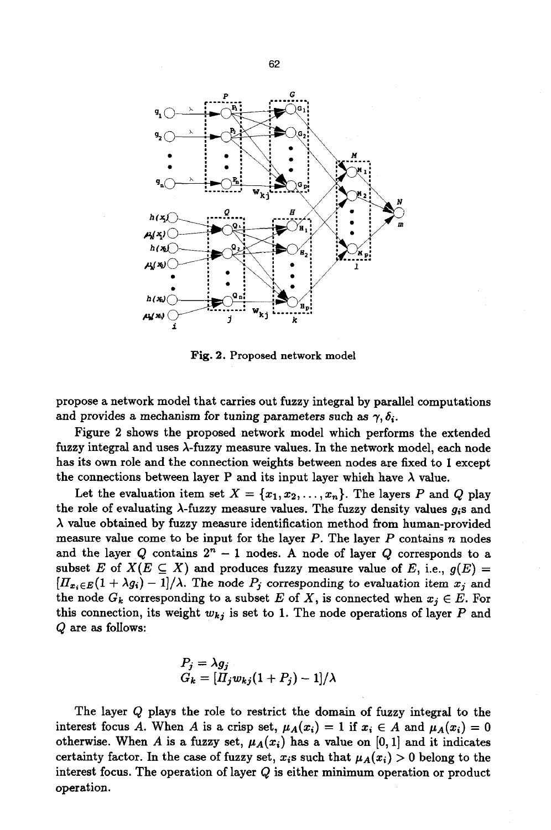

Fig. 2. Proposed network model

propose a network model that carries out fuzzy integral by parallel computations and provides a mechanism for tuning parameters such as  $\gamma$ ,  $\delta_i$ .

Figure 2 shows the proposed network model which performs the extended fuzzy integral and uses A-fuzzy measure values. In the network model, each node has its own role and the connection weights between nodes are fixed to 1 except the connections between layer P and its input layer which have  $\lambda$  value.

Let the evaluation item set  $X = \{x_1, x_2, \ldots, x_n\}$ . The layers P and Q play the role of evaluating  $\lambda$ -fuzzy measure values. The fuzzy density values  $g_i$ s and  $\lambda$  value obtained by fuzzy measure identification method from human-provided measure value come to be input for the layer  $P$ . The layer  $P$  contains  $n$  nodes and the layer Q contains  $2^n - 1$  nodes. A node of layer Q corresponds to a subset E of  $X(E \subseteq X)$  and produces fuzzy measure value of E, i.e.,  $g(E) =$  $[H_{x_i\in E}(1 + \lambda g_i) - 1]/\lambda$ . The node  $P_j$  corresponding to evaluation item  $x_j$  and the node  $G_k$  corresponding to a subset E of X, is connected when  $x_i \in E$ . For this connection, its weight  $w_{kj}$  is set to 1. The node operations of layer  $P$  and  $Q$  are as follows:

$$
P_j = \lambda g_j
$$
  
\n
$$
G_k = [H_j w_{kj}(1 + P_j) - 1]/\lambda
$$

The layer Q plays the role to restrict the domain of fuzzy integral to the interest focus A. When A is a crisp set,  $\mu_A(x_i) = 1$  if  $x_i \in A$  and  $\mu_A(x_i) = 0$ otherwise. When A is a fuzzy set,  $\mu_A(x_i)$  has a value on [0, 1] and it indicates certainty factor. In the case of fuzzy set,  $x_i$ s such that  $\mu_A(x_i) > 0$  belong to the interest focus. The operation of layer  $Q$  is either minimum operation or product operation.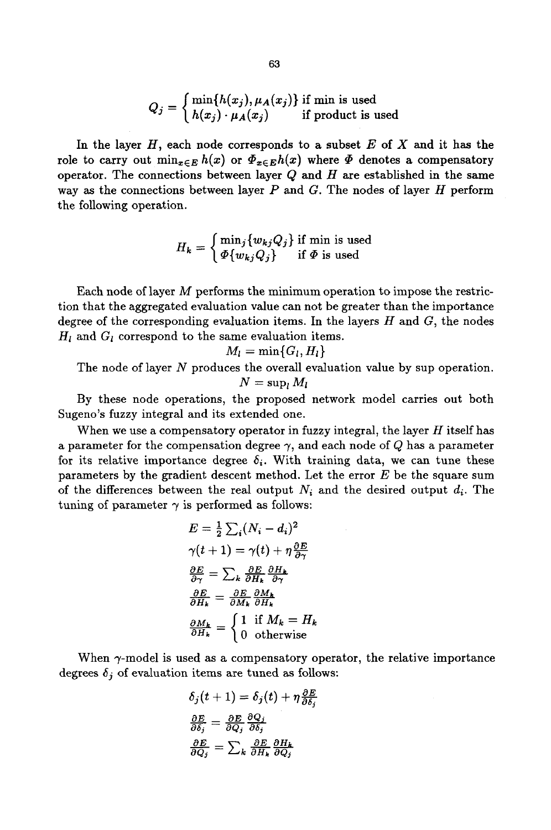$$
Q_j = \begin{cases} \min\{h(x_j), \mu_A(x_j)\} \text{ if } \min \text{ is used} \\ h(x_j) \cdot \mu_A(x_j) \quad \text{ if product is used} \end{cases}
$$

In the layer  $H$ , each node corresponds to a subset  $E$  of  $X$  and it has the role to carry out  $\min_{x \in E} h(x)$  or  $\Phi_{x \in E} h(x)$  where  $\Phi$  denotes a compensatory operator. The connections between layer  $Q$  and  $H$  are established in the same way as the connections between layer  $P$  and  $G$ . The nodes of layer  $H$  perform the following operation.

$$
H_k = \begin{cases} \min_j \{w_{kj}Q_j\} \text{ if } \min \text{ is used} \\ \varPhi\{w_{kj}Q_j\} & \text{ if } \varPhi \text{ is used} \end{cases}
$$

Each node of layer  $M$  performs the minimum operation to impose the restriction that the aggregated evaluation value can not be greater than the importance degree of the corresponding evaluation items. In the layers  $H$  and  $G$ , the nodes  $H_l$  and  $G_l$  correspond to the same evaluation items.

$$
M_l=\min\{G_l,H_l\}
$$

The node of layer N produces the overall evaluation value by sup operation.  $N = \sup_l M_l$ 

By these node operations, the proposed network model carries out both Sugeno's fuzzy integral and its extended one.

When we use a compensatory operator in fuzzy integral, the layer  $H$  itself has a parameter for the compensation degree  $\gamma$ , and each node of Q has a parameter for its relative importance degree  $\delta_i$ . With training data, we can tune these parameters by the gradient descent method. Let the error  $E$  be the square sum of the differences between the real output  $N_i$  and the desired output  $d_i$ . The tuning of parameter  $\gamma$  is performed as follows:

$$
E = \frac{1}{2} \sum_{i} (N_i - d_i)^2
$$
  
\n
$$
\gamma(t+1) = \gamma(t) + \eta \frac{\partial E}{\partial \gamma}
$$
  
\n
$$
\frac{\partial E}{\partial \gamma} = \sum_{k} \frac{\partial E}{\partial H_k} \frac{\partial H_k}{\partial \gamma}
$$
  
\n
$$
\frac{\partial E}{\partial H_k} = \frac{\partial E}{\partial M_k} \frac{\partial M_k}{\partial H_k}
$$
  
\n
$$
\frac{\partial M_k}{\partial H_k} = \begin{cases} 1 & \text{if } M_k = H_k \\ 0 & \text{otherwise} \end{cases}
$$

When  $\gamma$ -model is used as a compensatory operator, the relative importance degrees  $\delta_j$  of evaluation items are tuned as follows:

$$
\delta_j(t+1) = \delta_j(t) + \eta \frac{\partial E}{\partial \delta_j}
$$

$$
\frac{\partial E}{\partial \delta_j} = \frac{\partial E}{\partial Q_j} \frac{\partial Q_j}{\partial \delta_j}
$$

$$
\frac{\partial E}{\partial Q_i} = \sum_k \frac{\partial E}{\partial H_k} \frac{\partial H_k}{\partial Q_i}
$$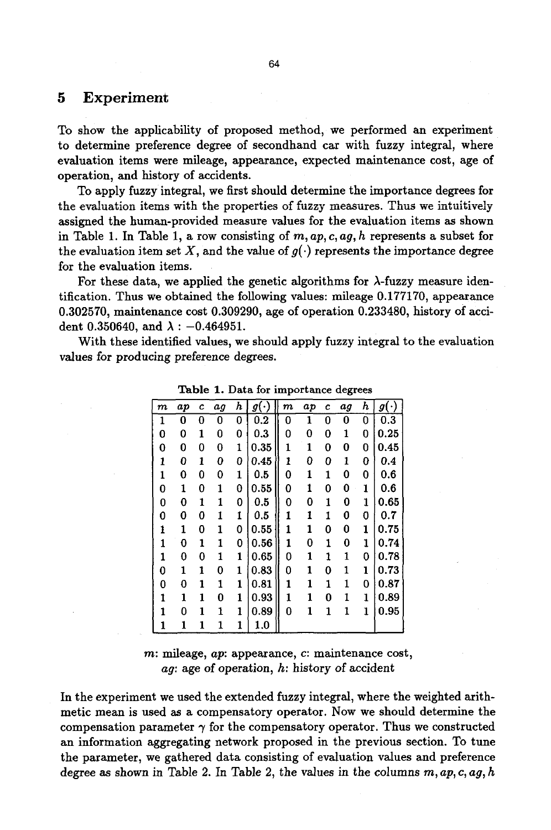## **5 Experiment**

To show the applicability of proposed method, we performed an experiment to determine preference degree of secondhand car with fuzzy integral, where evaluation items were mileage, appearance, expected maintenance cost, age of operation, and history of accidents.

To apply fuzzy integral, we first should determine the importance degrees for the evaluation items with the properties of fuzzy measures. Thus we intuitively assigned the human-provided measure values for the evaluation items as shown in Table 1. In Table 1, a row consisting of *m, ap, c, ag, h* represents a subset for the evaluation item set X, and the value of  $q(\cdot)$  represents the importance degree for the evaluation items.

For these data, we applied the genetic algorithms for  $\lambda$ -fuzzy measure identification. Thus we obtained the following values: mileage 0.177170, appearance 0.302570, maintenance cost 0.309290, age of operation 0.233480, history of accident 0.350640, and  $\lambda$  : -0.464951.

With these identified values, we should apply fuzzy integral to the evaluation values for producing preference degrees.

| m | ap | c            | ag | h            | $g(\cdot)$ | $\boldsymbol{m}$ | ap           | c | аg | h            | $g(\cdot)$ |
|---|----|--------------|----|--------------|------------|------------------|--------------|---|----|--------------|------------|
| 1 | 0  | 0            | 0  | 0            | 0.2        | 0                | 1            | 0 | 0  | 0            | 0.3        |
| 0 | 0  | 1            | 0  | 0            | 0.3        | 0                | 0            | 0 | 1  | 0            | 0.25       |
| 0 | 0  | 0            | 0  | 1            | 0.35       | 1                | 1            | 0 | 0  | 0            | 0.45       |
| 1 | 0  | 1            | 0  | 0            | 0.45       | 1                | 0            | 0 | 1  | 0            | 0.4        |
| 1 | 0  | 0            | 0  | 1            | 0.5        | 0                | 1            | 1 | 0  | 0            | 0.6        |
| 0 | 1  | 0            | 1  | 0            | 0.55       | 0                | 1            | 0 | 0  | 1            | 0.6        |
| 0 | 0  | 1            | 1  | 0            | 0.5        | 0                | 0            | 1 | 0  | 1            | 0.65       |
| 0 | 0  | 0            | 1  | 1            | 0.5        | 1                | 1            | 1 | 0  | 0            | 0.7        |
| 1 | 1  | 0            | 1  | 0            | 0.55       | $\mathbf{1}$     | 1            | 0 | 0  | ı            | 0.75       |
| 1 | 0  | 1            | 1  | 0            | 0.56       | 1                | 0            | 1 | 0  | $\mathbf{1}$ | 0.74       |
| 1 | 0  | 0            | 1  | $\mathbf{1}$ | 0.65       | 0                | 1            | 1 | 1  | 0            | 0.78       |
| 0 | 1  | 1            | 0  | 1            | 0.83       | 0                | 1            | 0 | 1  | ı            | 0.73       |
| 0 | 0  | 1            | 1  | 1            | 0.81       | $\mathbf{1}$     | $\mathbf{1}$ | 1 | 1  | 0            | 0.87       |
| 1 | 1  | 1            | 0  | 1            | 0.93       | 1                | 1            | 0 | 1  | $\mathbf{1}$ | 0.89       |
| 1 | 0  | 1            | 1  | 1            | 0.89       | 0                | 1            | 1 | 1  | 1            | 0.95       |
| 1 | 1  | $\mathbf{1}$ | 1  | 1            | 1.0        |                  |              |   |    |              |            |

Table 1. Data for importance degrees

m: mileage, *ap:* appearance, c: maintenance cost, *ag:* age of operation, h: history of accident

In the experiment we used the extended fuzzy integral, where the weighted arithmetic mean is used as a compensatory operator. Now we should determine the compensation parameter  $\gamma$  for the compensatory operator. Thus we constructed an information aggregating network proposed in the previous section. To tune the parameter, we gathered data consisting of evaluation values and preference degree as shown in Table 2. In Table 2, the values in the columns *m, ap, c, ag, h*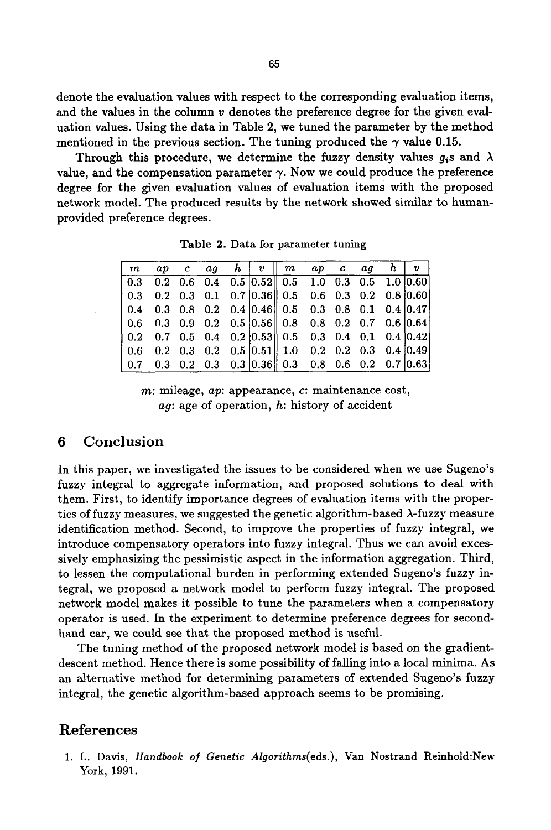denote the evaluation values with respect to the corresponding evaluation items, and the values in the column  $v$  denotes the preference degree for the given evaluation values. Using the data in Table 2, we tuned the parameter by the method mentioned in the previous section. The tuning produced the  $\gamma$  value 0.15.

Through this procedure, we determine the fuzzy density values  $q_i$  and  $\lambda$ value, and the compensation parameter  $\gamma$ . Now we could produce the preference degree for the given evaluation values of evaluation items with the proposed network model. The produced results by the network showed similar to humanprovided preference degrees.

|  |  |  | $\left \begin{array}{ccccccccc} m & ap & c & ag & h & v \end{array}\right $ map cagh $\left \begin{array}{ccccccccc} v & d & d \end{array}\right $ |  |  |  |
|--|--|--|----------------------------------------------------------------------------------------------------------------------------------------------------|--|--|--|
|  |  |  | 0.3  0.2  0.6  0.4  0.5 $ 0.52 $ 0.5  1.0  0.3  0.5  1.0  0.60                                                                                     |  |  |  |
|  |  |  | $\begin{bmatrix} 0.3 & 0.2 & 0.3 & 0.1 & 0.7 & 0.36 \end{bmatrix}$ 0.5 0.6 0.3 0.2 0.8 0.60                                                        |  |  |  |
|  |  |  |                                                                                                                                                    |  |  |  |
|  |  |  |                                                                                                                                                    |  |  |  |
|  |  |  |                                                                                                                                                    |  |  |  |
|  |  |  | $\begin{bmatrix} 0.6 & 0.2 & 0.3 & 0.2 & 0.5 & 0.51 \end{bmatrix}$ 1.0 0.2 0.2 0.3 0.4 0.49                                                        |  |  |  |
|  |  |  |                                                                                                                                                    |  |  |  |

**Table** 2. Data for parameter tuning

m: mileage, *ap*: appearance, *c*: maintenance cost, *ag:* age of operation, h: history of accident

# **6 Conclusion**

In this paper, we investigated the issues to be considered when we use Sugeno's fuzzy integral to aggregate information, and proposed solutions to deal with them. First, to identify importance degrees of evaluation items with the properties of fuzzy measures, we suggested the genetic algorithm-based  $\lambda$ -fuzzy measure identification method. Second, to improve the properties of fuzzy integral, we introduce compensatory operators into fuzzy integral. Thus we can avoid excessively emphasizing the pessimistic aspect in the information aggregation. Third, to lessen the computational burden in performing extended Sugeno's fuzzy integral, we proposed a network model to perform fuzzy integral. The proposed network model makes it possible to tune the parameters when a compensatory operator is used. In the experiment to determine preference degrees for secondhand car, we could see that the proposed method is useful.

The tuning method of the proposed network model is based on the gradientdescent method. Hence there is some possibility of falling into a local minima. As an alternative method for determining parameters of extended Sugeno's fuzzy integral, the genetic algorithm-based approach seems to be promising.

# References

1. L. Davis, *Handbook of Genetic Algorithms(eds.),* Van Nostrand Reinhold:New York, 1991.